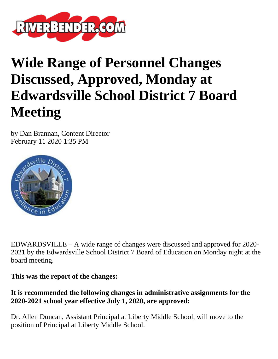

# **Wide Range of Personnel Changes Discussed, Approved, Monday at Edwardsville School District 7 Board Meeting**

by Dan Brannan, Content Director February 11 2020 1:35 PM



EDWARDSVILLE – A wide range of changes were discussed and approved for 2020- 2021 by the Edwardsville School District 7 Board of Education on Monday night at the board meeting.

**This was the report of the changes:**

## **It is recommended the following changes in administrative assignments for the 2020-2021 school year effective July 1, 2020, are approved:**

Dr. Allen Duncan, Assistant Principal at Liberty Middle School, will move to the position of Principal at Liberty Middle School.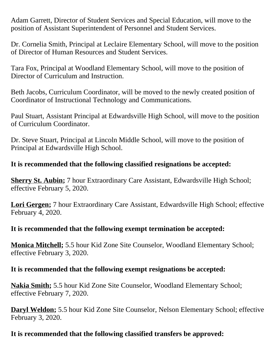Adam Garrett, Director of Student Services and Special Education, will move to the position of Assistant Superintendent of Personnel and Student Services.

Dr. Cornelia Smith, Principal at Leclaire Elementary School, will move to the position of Director of Human Resources and Student Services.

Tara Fox, Principal at Woodland Elementary School, will move to the position of Director of Curriculum and Instruction.

Beth Jacobs, Curriculum Coordinator, will be moved to the newly created position of Coordinator of Instructional Technology and Communications.

Paul Stuart, Assistant Principal at Edwardsville High School, will move to the position of Curriculum Coordinator.

Dr. Steve Stuart, Principal at Lincoln Middle School, will move to the position of Principal at Edwardsville High School.

## **It is recommended that the following classified resignations be accepted:**

**Sherry St. Aubin;** 7 hour Extraordinary Care Assistant, Edwardsville High School; effective February 5, 2020.

**Lori Gergen;** 7 hour Extraordinary Care Assistant, Edwardsville High School; effective February 4, 2020.

### **It is recommended that the following exempt termination be accepted:**

**Monica Mitchell;** 5.5 hour Kid Zone Site Counselor, Woodland Elementary School; effective February 3, 2020.

### **It is recommended that the following exempt resignations be accepted:**

**Nakia Smith;** 5.5 hour Kid Zone Site Counselor, Woodland Elementary School; effective February 7, 2020.

**Daryl Weldon;** 5.5 hour Kid Zone Site Counselor, Nelson Elementary School; effective February 3, 2020.

## **It is recommended that the following classified transfers be approved:**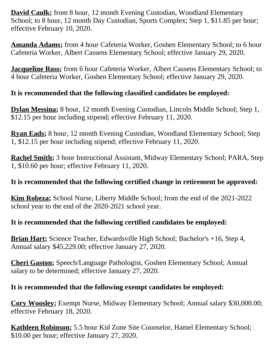**David Caulk;** from 8 hour, 12 month Evening Custodian, Woodland Elementary School; to 8 hour, 12 month Day Custodian, Sports Complex; Step 1, \$11.85 per hour; effective February 10, 2020.

**Amanda Adams;** from 4 hour Cafeteria Worker, Goshen Elementary School; to 6 hour Cafeteria Worker, Albert Cassens Elementary School; effective January 29, 2020.

**Jacqueline Ross;** from 6 hour Cafeteria Worker, Albert Cassens Elementary School; to 4 hour Cafeteria Worker, Goshen Elementary School; effective January 29, 2020.

# **It is recommended that the following classified candidates be employed:**

**Dylan Messina;** 8 hour, 12 month Evening Custodian, Lincoln Middle School; Step 1, \$12.15 per hour including stipend; effective February 11, 2020.

**Ryan Eads;** 8 hour, 12 month Evening Custodian, Woodland Elementary School; Step 1, \$12.15 per hour including stipend; effective February 11, 2020.

**Rachel Smith;** 3 hour Instructional Assistant, Midway Elementary School; PARA, Step 1, \$10.60 per hour; effective February 11, 2020.

# **It is recommended that the following certified change in retirement be approved:**

**Kim Robeza;** School Nurse, Liberty Middle School; from the end of the 2021-2022 school year to the end of the 2020-2021 school year.

# **It is recommended that the following certified candidates be employed:**

**Brian Hart;** Science Teacher, Edwardsville High School; Bachelor's +16, Step 4, Annual salary \$45,229.00; effective January 27, 2020.

**Cheri Gaston;** Speech/Language Pathologist, Goshen Elementary School; Annual salary to be determined; effective January 27, 2020.

## **It is recommended that the following exempt candidates be employed:**

**Cory Woosley;** Exempt Nurse, Midway Elementary School; Annual salary \$30,000.00; effective February 18, 2020.

**Kathleen Robinson;** 5.5 hour Kid Zone Site Counselor, Hamel Elementary School; \$10.00 per hour; effective January 27, 2020.